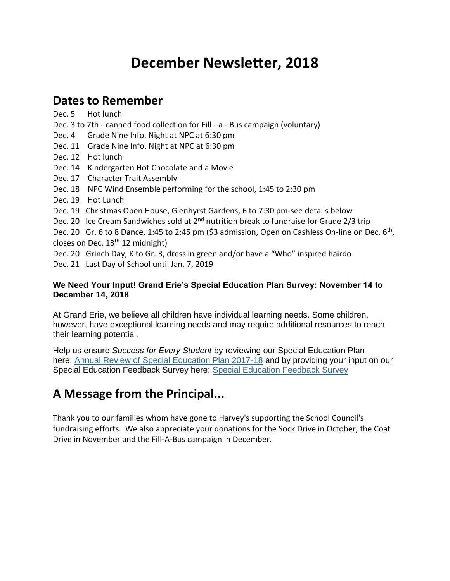# **December Newsletter, 2018**

### **Dates to Remember**

Dec. 5 Hot lunch Dec. 3 to 7th - canned food collection for Fill - a - Bus campaign (voluntary) Dec. 4 Grade Nine Info. Night at NPC at 6:30 pm Dec. 11 Grade Nine Info. Night at NPC at 6:30 pm Dec. 12 Hot lunch Dec. 14 Kindergarten Hot Chocolate and a Movie Dec. 17 Character Trait Assembly Dec. 18 NPC Wind Ensemble performing for the school, 1:45 to 2:30 pm Dec. 19 Hot Lunch Dec. 19 Christmas Open House, Glenhyrst Gardens, 6 to 7:30 pm-see details below Dec. 20 Ice Cream Sandwiches sold at 2<sup>nd</sup> nutrition break to fundraise for Grade 2/3 trip Dec. 20 Gr. 6 to 8 Dance, 1:45 to 2:45 pm (\$3 admission, Open on Cashless On-line on Dec. 6<sup>th</sup>, closes on Dec. 13<sup>th</sup> 12 midnight) Dec. 20 Grinch Day, K to Gr. 3, dress in green and/or have a "Who" inspired hairdo

Dec. 21 Last Day of School until Jan. 7, 2019

#### **We Need Your Input! Grand Erie's Special Education Plan Survey: November 14 to December 14, 2018**

At Grand Erie, we believe all children have individual learning needs. Some children, however, have exceptional learning needs and may require additional resources to reach their learning potential.

Help us ensure *Success for Every Student* by reviewing our Special Education Plan here: [Annual Review of Special Education Plan 2017-18](http://www.granderie.ca/download_file/view/7549/1193) and by providing your input on our Special Education Feedback Survey here: [Special Education Feedback Survey](http://www.granderie.ca/board/elementary/special-education/special-education-feedback-survey)

## **A Message from the Principal...**

Thank you to our families whom have gone to Harvey's supporting the School Council's fundraising efforts. We also appreciate your donations for the Sock Drive in October, the Coat Drive in November and the Fill-A-Bus campaign in December.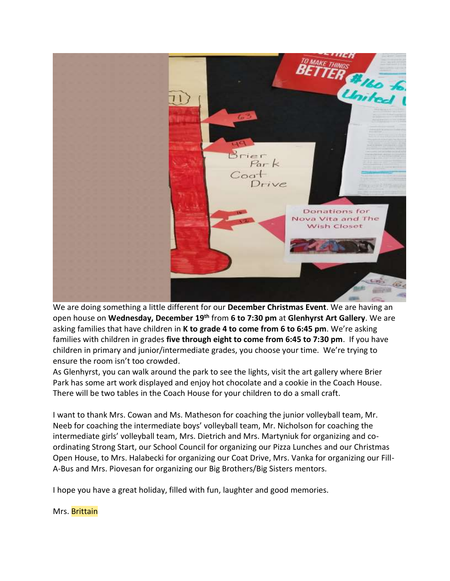

We are doing something a little different for our **December Christmas Event**. We are having an open house on **Wednesday, December 19th** from **6 to 7:30 pm** at **Glenhyrst Art Gallery**. We are asking families that have children in **K to grade 4 to come from 6 to 6:45 pm**. We're asking families with children in grades **five through eight to come from 6:45 to 7:30 pm**. If you have children in primary and junior/intermediate grades, you choose your time. We're trying to ensure the room isn't too crowded.

As Glenhyrst, you can walk around the park to see the lights, visit the art gallery where Brier Park has some art work displayed and enjoy hot chocolate and a cookie in the Coach House. There will be two tables in the Coach House for your children to do a small craft.

I want to thank Mrs. Cowan and Ms. Matheson for coaching the junior volleyball team, Mr. Neeb for coaching the intermediate boys' volleyball team, Mr. Nicholson for coaching the intermediate girls' volleyball team, Mrs. Dietrich and Mrs. Martyniuk for organizing and coordinating Strong Start, our School Council for organizing our Pizza Lunches and our Christmas Open House, to Mrs. Halabecki for organizing our Coat Drive, Mrs. Vanka for organizing our Fill-A-Bus and Mrs. Piovesan for organizing our Big Brothers/Big Sisters mentors.

I hope you have a great holiday, filled with fun, laughter and good memories.

Mrs. Brittain